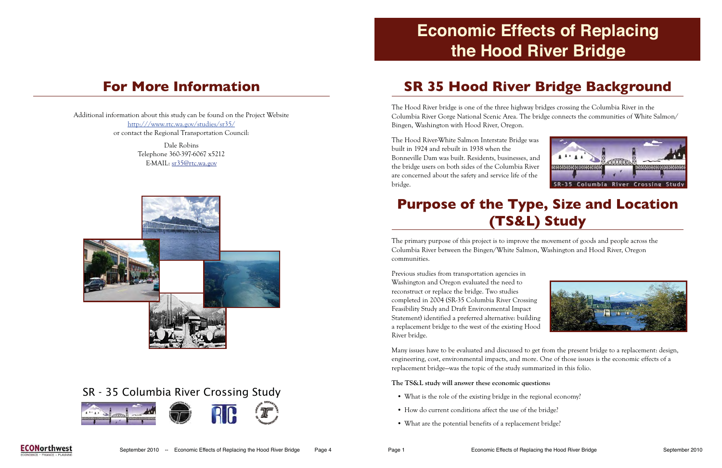### **For More Information**

Additional information about this study can be found on the Project Website http:///www.rtc.wa.gov/studies/sr35/ or contact the Regional Transportation Council:

> Dale Robins Telephone 360-397-6067 x5212 E-MAIL: sr35@rtc.wa.gov



### **SR 35 Hood River Bridge Background**

The Hood River bridge is one of the three highway bridges crossing the Columbia River in the Columbia River Gorge National Scenic Area. The bridge connects the communities of White Salmon/ Bingen, Washington with Hood River, Oregon.

The Hood River-White Salmon Interstate Bridge was built in 1924 and rebuilt in 1938 when the Bonneville Dam was built. Residents, businesses, and the bridge users on both sides of the Columbia River are concerned about the safety and service life of the bridge.

Previous studies from transportation agencies in Washington and Oregon evaluated the need to reconstruct or replace the bridge. Two studies completed in 2004 (SR-35 Columbia River Crossing Feasibility Study and Draft Environmental Impact Statement) identified a preferred alternative: building a replacement bridge to the west of the existing Hood River bridge.

#### **Purpose of the Type, Size and Location (TS&L) Study**

The primary purpose of this project is to improve the movement of goods and people across the Columbia River between the Bingen/White Salmon, Washington and Hood River, Oregon communities.

Many issues have to be evaluated and discussed to get from the present bridge to a replacement: design, engineering, cost, environmental impacts, and more. One of those issues is the economic effects of a replacement bridge—was the topic of the study summarized in this folio.

#### **The TS&L study will answer these economic questions:**

- What is the role of the existing bridge in the regional economy?
- How do current conditions affect the use of the bridge?
- What are the potential benefits of a replacement bridge?







# **Economic Effects of Replacing the Hood River Bridge**

#### SR - 35 Columbia River Crossing Study